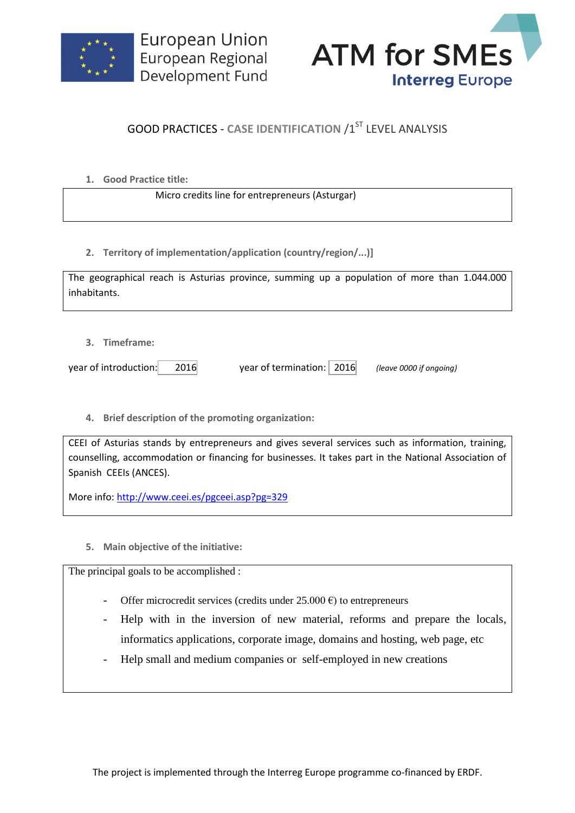



## **GOOD PRACTICES - CASE IDENTIFICATION /1ST LEVEL ANALYSIS**

**1. Good Practice title:**

Micro credits line for entrepreneurs (Asturgar)

**2. Territory of implementation/application (country/region/...)]**

| The geographical reach is Asturias province, summing up a population of more than 1.044.000 |  |  |  |  |  |  |
|---------------------------------------------------------------------------------------------|--|--|--|--|--|--|
| inhabitants.                                                                                |  |  |  |  |  |  |

**3. Timeframe:**

year of introduction: 2016 year of termination: 2016 *(leave 0000 if ongoing)*

**4. Brief description of the promoting organization:**

CEEI of Asturias stands by entrepreneurs and gives several services such as information, training, counselling, accommodation or financing for businesses. It takes part in the National Association of Spanish CEEIs (ANCES).

More info:<http://www.ceei.es/pgceei.asp?pg=329>

**5. Main objective of the initiative:**

The principal goals to be accomplished :

- Offer microcredit services (credits under  $25.000 \text{ } \epsilon$ ) to entrepreneurs
- Help with in the inversion of new material, reforms and prepare the locals, informatics applications, corporate image, domains and hosting, web page, etc
- Help small and medium companies or self-employed in new creations